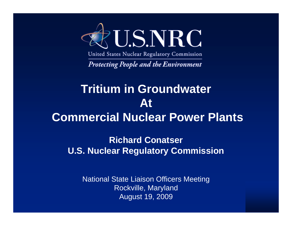

United States Nuclear Regulatory Commission

**Protecting People and the Environment** 

#### **Tritium in Groundwater AtCommercial Nuclear Power Plants**

**Richard Conatser U.S. Nuclear Regulatory Commission**

National State Liaison Officers Meeting Rockville, Maryland August 19, 2009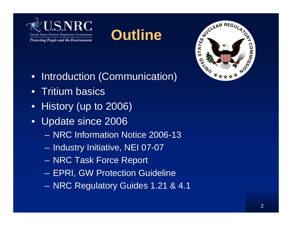





- Introduction (Communication)
- Tritium basics
- History (up to 2006)
- Update since 2006
	- NRC Information Notice 2006-13
	- Industry Initiative, NEI 07-07
	- NRC Task Force Report
	- EPRI, GW Protection Guideline
	- NRC Regulatory Guides 1.21 & 4.1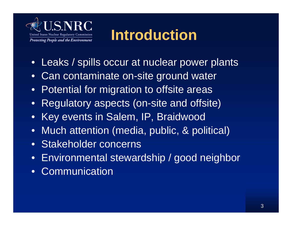

### **Introduction**

- Leaks / spills occur at nuclear power plants
- Can contaminate on-site ground water
- Potential for migration to offsite areas
- Regulatory aspects (on-site and offsite)
- Key events in Salem, IP, Braidwood
- Much attention (media, public, & political)
- Stakeholder concerns
- Environmental stewardship / good neighbor
- **Communication**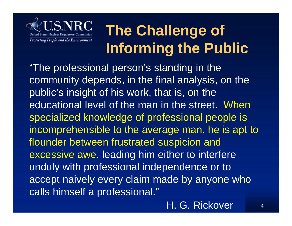

## **The Challenge of Informing the Public**

"The professional person's standing in the community depends, in the final analysis, on the public's insight of his work, that is, on the educational level of the man in the street. When specialized knowledge of professional people is incomprehensible to the average man, he is apt to flounder between frustrated suspicion and excessive awe, leading him either to interfere unduly with professional independence or to accept naively every claim made by anyone who calls himself a professional."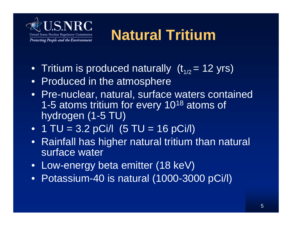

# **Natural Tritium**

- Tritium is produced naturally  $(t_{1/2} = 12 \text{ yrs})$
- Produced in the atmosphere
- Pre-nuclear, natural, surface waters contained 1-5 atoms tritium for every 1018 atoms of hydrogen (1-5 TU)
- 1 TU =  $3.2$  pCi/l  $(5$  TU =  $16$  pCi/l)
- Rainfall has higher natural tritium than natural surface water
- Low-energy beta emitter (18 keV)
- Potassium-40 is natural (1000-3000 pCi/l)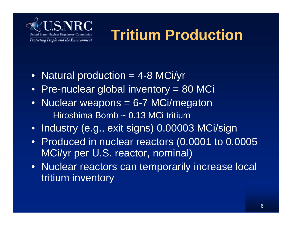

# **Tritium Production**

- Natural production = 4-8 MCi/yr
- Pre-nuclear global inventory = 80 MCi
- Nuclear weapons = 6-7 MCi/megaton – Hiroshima Bomb ~ 0.13 MCi tritium
- Industry (e.g., exit signs) 0.00003 MCi/sign
- Produced in nuclear reactors (0.0001 to 0.0005 MCi/yr per U.S. reactor, nominal)
- Nuclear reactors can temporarily increase local tritium inventory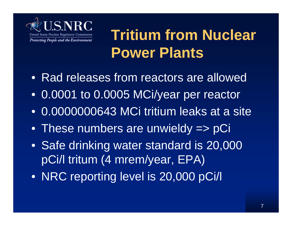

## **Tritium from Nuclear Power Plants**

- Rad releases from reactors are allowed
- 0.0001 to 0.0005 MCi/year per reactor
- 0.0000000643 MCi tritium leaks at a site
- These numbers are unwieldy => pCi
- Safe drinking water standard is 20,000 pCi/l tritum (4 mrem/year, EPA)
- NRC reporting level is 20,000 pCi/l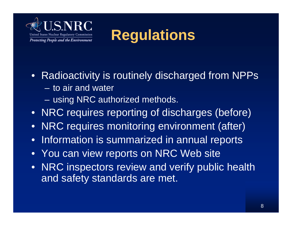

**Regulations**

- Radioactivity is routinely discharged from NPPs – to air and water
	- using NRC authorized methods.
- NRC requires reporting of discharges (before)
- NRC requires monitoring environment (after)
- Information is summarized in annual reports
- You can view reports on NRC Web site
- NRC inspectors review and verify public health and safety standards are met.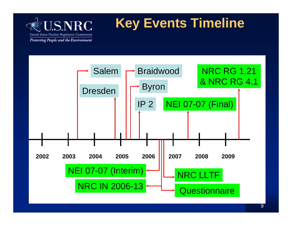

#### **Key Events Timeline**

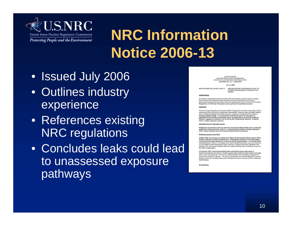

### **NRC Information Notice 2006-13**

- Issued July 2006
- Outlines industry experience
- References existing NRC regulations
- Concludes leaks could lead to unassessed exposure pathways

**UNITED STATES** NUCLEAR REGULATORY COMMISSION OFFICE OF NUCLEAR REACTOR REGULATION WASHINGTON, D.C. 20555-0001

July 10, 2006

NRC INFORMATION NOTICE 2006-13:

GROUND-WATER CONTAMINATION DUE TO UNDETECTED LEAKAGE OF RADIOACTIVE **WATER** 

#### **ADDRESSEES**

All holders of operating licenses for nuclear power and research and test reactors including<br>those who have permanently ceased operations and have certified that fuel has been rmanently removed from the reactor and those authorized by Title 10 of the Code of Federal Regulations (10 CFR) Part 72 licenses to store spent fuel in water-filled structures.

#### PURPOSE

The U.S. Nuclear Regulatory Commission (NRC) is issuing this information notice (IN) to inform addressees of the occurrence of radioactive contamination of ground water at multiple facilities due to undetected leakage from facility structures, systems, or components that contain or transport radioactive fluids. It is expected that recipients will review the information for applicability to their facilities and consider actions, as appropriate, to avoid similar problems.<br>However, suggestions contained in this IN are not NRC requirements; therefore, no specific action or written response is required.

#### **DESCRIPTION OF CIRCUMSTANCES**

Radioactive contamination of ground water has occurred at multiple facilities due to undetected leakage from facility structures, systems, or components that contain or transport radioactive<br>fluids. Specific instances that have occurred recently include the following:

#### Braidwood Nuclear Power Plant

In March 2005, the licensee was notified by the Illinois Environmental Protection Agency (EPA) of tritium detected in a nearby residential well. Following that notification, the licensee began monitoring ground water between the community and the Braidwood plant. The licensee found detectable levels of tritium in a drainage ditch near the Braidwood access road, but at that time, no other offsite contaminated ground water was found. Based on the tritium identified in the drainage ditch, the licensee installed additional onsite monitoring wells to identify the source of the tritium contamination

In November 2005, the licensee identified peak contaminated ground water levels of 58,000 picocuries per fiter (pCi/L) in shallow, ground-water monitoring wells located at the edge of the owner controlled area. The licensee notified the NRC and immediately suspended all<br>further liquid radioactive releases. The tritium was attributed to historical leakage from vacuum breakers along the circulating water system blowdown line that is routinely used for radioactive liquid releases

ML060540038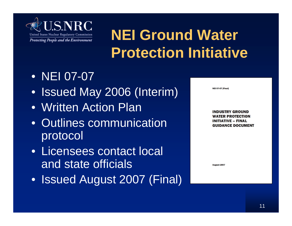

# **NEI Ground Water Protection Initiative**

- NEI 07-07
- Issued May 2006 (Interim)
- Written Action Plan
- Outlines communication protocol
- Licensees contact local and state officials
- Issued August 2007 (Final)

**NEI 07-07 [Final]** 

**INDUSTRY GROUND** ER PROTECTION INITIATIVE – FINAL **GUIDANCE DOCUMENT** 

**August 2007**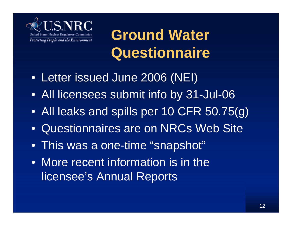

**Ground Water Questionnaire**

- Letter issued June 2006 (NEI)
- All licensees submit info by 31-Jul-06
- All leaks and spills per 10 CFR 50.75(g)
- Questionnaires are on NRCs Web Site
- This was a one-time "snapshot"
- More recent information is in the licensee's Annual Reports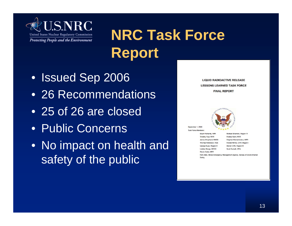

# **NRC Task Force Report**

- Issued Sep 2006
- 26 Recommendations
- 25 of 26 are closed
- Public Concerns
- No impact on health and safety of the public

**LIQUID RADIOACTIVE RELEASE LESSONS LEARNED TASK FORCE FINAL REPORT** 



September 1, 2006

**Task Force Members Stuart Richards, NRR Timothy Frye, NRR** James Shepherd, NMSS Thomas Nicholson, RES George Kuzo, Region II **Undine Shoop, OEDO** Stacie Sakai, NRR

Michael Shannon, Region IV Andrea Keim, NRR Stephen Klementowicz, NRR Ronald Nimitz, CHP, Region I Steven Orth, Region III Scott Burnell, OPA

Rich Allen, Illinois Emergency Management Agency, Bureau of Environmental Safety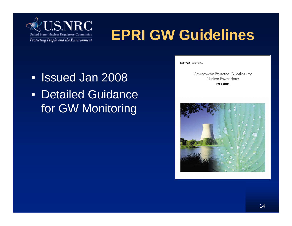

## **EPRI GW Guidelines**

- Issued Jan 2008
- Detailed Guidance for GW Monitoring

EPRI **ELERGY POWER** 

Groundwater Protection Guidelines for Nuclear Power Plants Public Edition

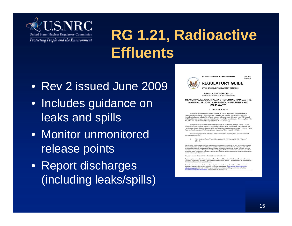

# **RG 1.21, Radioactive Effluents**

- Rev 2 issued June 2009
- Includes guidance on leaks and spills
- Monitor unmonitored release points
- Report discharges (including leaks/spills)



**U.S. NUCLEAR REGULATORY COMMISSION** 

**June 2005** Revision 2

**REGULATORY GUIDE** OFFICE OF NUCLEAR REGULATORY RESEARCH

**REGULATORY GUIDE 1.21** (Draft was issued as DG-1186, dated October 2008)

**MEASURING, EVALUATING, AND REPORTING RADIOACTIVE** MATERIAL IN LIQUID AND GASEOUS EFFLUENTS AND **SOLID WASTE** 

A. INTRODUCTION

This guide describes methods the staff of the U.S. Nuclear Regulatory Commission (NRC) considers acceptable for use: (1) in measuring, evaluating, and reporting plant-related radioactivity (excluding background radiation) in effluents and solid radioactive waste shipments from NRC licensed facilities, (2) in assessing and reporting the public dose from facility operations, and (3) on complying with 40 CFR 190 in accordance with the requirements of 10 CFR 20.1301(e).

This guide incorporates the risk-informed principles of the Reactor Oversight Process. A riskinformed, performance-based approach to regulatory decision-making combines the "risk-informed" and "performance-based" elements discussed in the staff requirements memorandum on SECY-98-144, "White Paper on Risk-Informed and Performance-Based Regulation," dated March 1, 1999 (Ref. 1)

The following regulations and design criteria establish the regulatory basis for the radiological effluent control program

Title 10 of the Code of Federal Regulations (10 CFR) Section 20.1501, "Surveys" (Ref. 2).

The NRC issues regulatory guides to describe and make available to the public methods that the NRC staff considers acceptable for use in implementing specific parts of the agency's regulations, techniques that the staff uses in evaluating specific problem<br>or postulinted accidents, and data that the staff needs in reviewing applications for permit not substitutes for regulations, and compliance with them is not required. Methods and solutions that differ from those set forth not substitutes for regulations, and compliance with them is not required. Methods and solutions that differ from those set forth<br>in regulatory guides will be decrived acceptable if they provide a basis for the findings re

This mide was issued after consideration of comments received from the public.

Regulatory guides are issued in 10 broad divisions: 1, Power Reactors; 2, Research and Test Reactors; 3, Fuels and Materials Facilities; 4. Environmental and Siting: 5. Materials and Plant Protection: 6. Products: 7. Transportation: 8. Occupational Health 9. Antitrust and Financial Review; and 10. General.

Electronic copies of this guide and other recently issued guides are available through the NRC's public Web site under the Regulatory Guides document collection of the SRC's Electronic Regulating-modules collection of the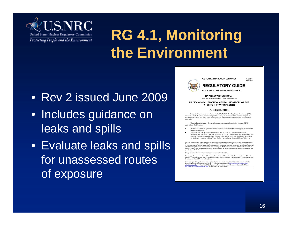

## **RG 4.1, Monitoring the Environment**

- Rev 2 issued June 2009
- Includes guidance on leaks and spills
- Evaluate leaks and spills for unassessed routes of exposure



**U.S. NUCLEAR REGULATORY COMMISSION** 

**June 2009** Revision 2

#### **REGULATORY GUIDE**

OFFICE OF NUCLEAR REGULATORY RESEARCH

**REGULATORY GUIDE 4.1** (Draft was issued as DG-4013, dated November 2008)

RADIOLOGICAL ENVIRONMENTAL MONITORING FOR **NUCLEAR POWER PLANTS** 

#### **A. INTRODUCTION**

This guide describes a method that the staff of the U.S. Nuclear Regulatory Commission (NRC) considers acceptable for use in establishing and conducting an environmental monitoring program at nuclear power plants. The guide describes programs for preoperational and operational environmental monitoring

The regulatory framework for the radiological environmental monitoring program (REMP) derives from the following

- plant-specific technical specifications that establish a requirement for radiological environmental monitoring activities;
- Title 10 of the Code of Federal Regulations (10 CFR) Part 50, "Domestic Licensing of Production and Utilization Facilities." Appendix I. "Numerical Guides for Design Objectives and Limiting Conditions for Operation to Meet the Criterion 'As Low As Is Reasonably Achievable' for Radioactive Material in Light-Water-Cooled Nuclear Power Reactor Effluents" (Ref. 1);

The NRC issues regulatory guides to describe and make available to the public methods that the NRC staff considers acceptable for we in implementation of the same of the space  $\hat{r}$  requires the control of the state in the control of the state of the state of the state of the state of the state of the state of the state of the state of particl permit or license by the Commission

This guide was issued after consideration of comments received from the public

Regulatory quides are issued in 10 broad divisions: 1. Power Reactory: 2. Research and Test Reactory: 3. Fack and Materials Facilities: 4. Environmental and Stiting: 5. Materials and Plant Protection: 6, Products: 7, Transportation; 8, Occupational Health;<br>9, Antitrust and Financial Review, and 10. General.

Electronic copies of this guide and other recently issued guides are available through the NRC's public Web site under the<br>Regulatory Guides document collection of the NRC's Dectronic Reading Room at <u>http://www.net.en/th</u> ttp://www.nrc.gov/rcading-rm/adams.html.under Accession No. ML091310141.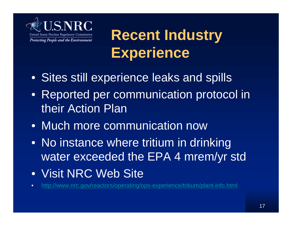

**Recent Industry Experience**

- Sites still experience leaks and spills
- Reported per communication protocol in their Action Plan
- Much more communication now
- No instance where tritium in drinking water exceeded the EPA 4 mrem/yr std
- Visit NRC Web Site
- <http://www.nrc.gov/reactors/operating/ops-experience/tritium/plant-info.html>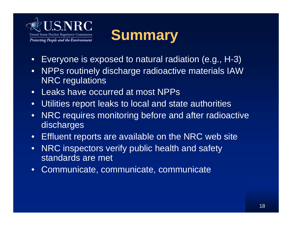

#### **Summary**

- Everyone is exposed to natural radiation (e.g., H-3)
- NPPs routinely discharge radioactive materials IAW NRC regulations
- Leaks have occurred at most NPPs
- Utilities report leaks to local and state authorities
- NRC requires monitoring before and after radioactive discharges
- Effluent reports are available on the NRC web site
- NRC inspectors verify public health and safety standards are met
- Communicate, communicate, communicate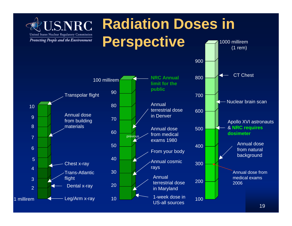

#### **Radiation Doses in Perspective** 1000 millirem $(1$  rem)